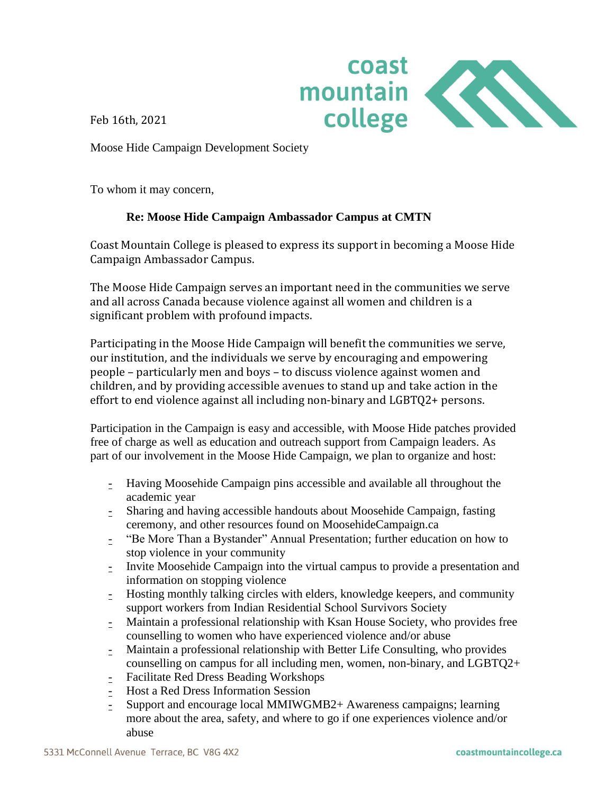

Feb 16th, 2021

Moose Hide Campaign Development Society

To whom it may concern,

## **Re: Moose Hide Campaign Ambassador Campus at CMTN**

Coast Mountain College is pleased to express its support in becoming a Moose Hide Campaign Ambassador Campus.

The Moose Hide Campaign serves an important need in the communities we serve and all across Canada because violence against all women and children is a significant problem with profound impacts.

Participating in the Moose Hide Campaign will benefit the communities we serve, our institution, and the individuals we serve by encouraging and empowering people – particularly men and boys – to discuss violence against women and children, and by providing accessible avenues to stand up and take action in the effort to end violence against all including non-binary and LGBTQ2+ persons.

Participation in the Campaign is easy and accessible, with Moose Hide patches provided free of charge as well as education and outreach support from Campaign leaders. As part of our involvement in the Moose Hide Campaign, we plan to organize and host:

- Having Moosehide Campaign pins accessible and available all throughout the academic year
- Sharing and having accessible handouts about Moosehide Campaign, fasting ceremony, and other resources found on MoosehideCampaign.ca
- "Be More Than a Bystander" Annual Presentation; further education on how to stop violence in your community
- Invite Moosehide Campaign into the virtual campus to provide a presentation and information on stopping violence
- Hosting monthly talking circles with elders, knowledge keepers, and community support workers from Indian Residential School Survivors Society
- Maintain a professional relationship with Ksan House Society, who provides free counselling to women who have experienced violence and/or abuse
- Maintain a professional relationship with Better Life Consulting, who provides counselling on campus for all including men, women, non-binary, and LGBTQ2+
- Facilitate Red Dress Beading Workshops
- Host a Red Dress Information Session
- Support and encourage local MMIWGMB2+ Awareness campaigns; learning more about the area, safety, and where to go if one experiences violence and/or abuse